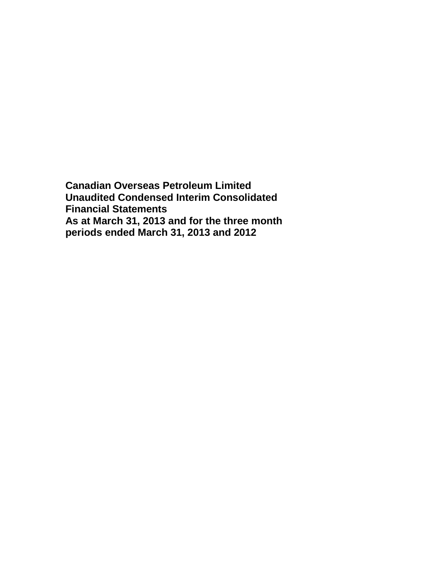**Canadian Overseas Petroleum Limited Unaudited Condensed Interim Consolidated Financial Statements As at March 31, 2013 and for the three month periods ended March 31, 2013 and 2012**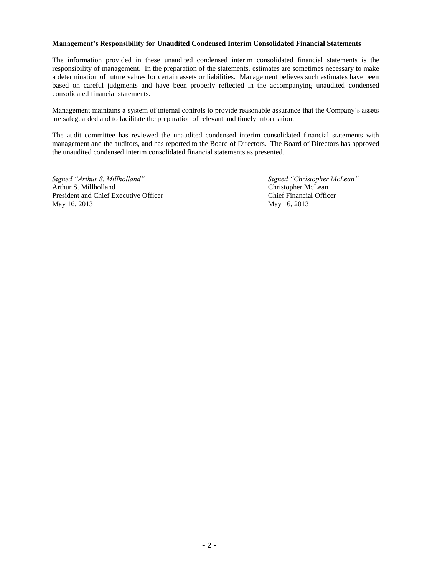#### **Management's Responsibility for Unaudited Condensed Interim Consolidated Financial Statements**

The information provided in these unaudited condensed interim consolidated financial statements is the responsibility of management. In the preparation of the statements, estimates are sometimes necessary to make a determination of future values for certain assets or liabilities. Management believes such estimates have been based on careful judgments and have been properly reflected in the accompanying unaudited condensed consolidated financial statements.

Management maintains a system of internal controls to provide reasonable assurance that the Company's assets are safeguarded and to facilitate the preparation of relevant and timely information.

The audit committee has reviewed the unaudited condensed interim consolidated financial statements with management and the auditors, and has reported to the Board of Directors. The Board of Directors has approved the unaudited condensed interim consolidated financial statements as presented.

*Signed "Arthur S. Millholland" Signed "Christopher McLean"* Arthur S. Millholland Christopher McLean President and Chief Executive Officer Chief Financial Officer May 16, 2013 May 16, 2013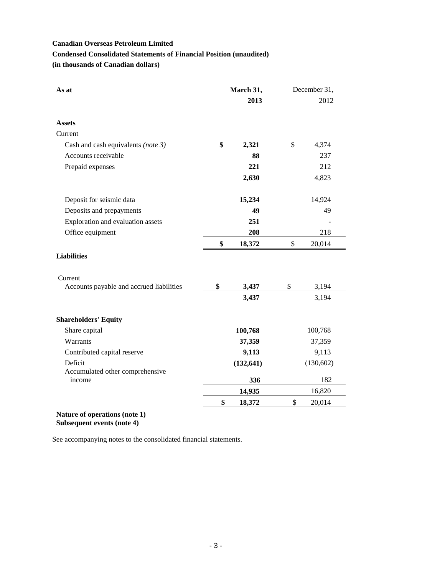# **Condensed Consolidated Statements of Financial Position (unaudited)**

**(in thousands of Canadian dollars)**

| As at<br>March 31,<br>2013               |    | December 31, |    |            |
|------------------------------------------|----|--------------|----|------------|
|                                          |    |              |    | 2012       |
|                                          |    |              |    |            |
| <b>Assets</b><br>Current                 |    |              |    |            |
|                                          | \$ |              |    |            |
| Cash and cash equivalents (note 3)       |    | 2,321        | \$ | 4,374      |
| Accounts receivable                      |    | 88           |    | 237        |
| Prepaid expenses                         |    | 221          |    | 212        |
|                                          |    | 2,630        |    | 4,823      |
| Deposit for seismic data                 |    | 15,234       |    | 14,924     |
| Deposits and prepayments                 |    | 49           |    | 49         |
| Exploration and evaluation assets        |    | 251          |    |            |
| Office equipment                         |    | 208          |    | 218        |
|                                          | \$ | 18,372       | \$ | 20,014     |
| <b>Liabilities</b>                       |    |              |    |            |
| Current                                  |    |              |    |            |
| Accounts payable and accrued liabilities | \$ | 3,437        | \$ | 3,194      |
|                                          |    | 3,437        |    | 3,194      |
| <b>Shareholders' Equity</b>              |    |              |    |            |
| Share capital                            |    | 100,768      |    | 100,768    |
| Warrants                                 |    | 37,359       |    | 37,359     |
| Contributed capital reserve              |    | 9,113        |    | 9,113      |
| Deficit                                  |    | (132, 641)   |    | (130, 602) |
| Accumulated other comprehensive          |    |              |    |            |
| income                                   |    | 336          |    | 182        |
|                                          |    | 14,935       |    | 16,820     |
|                                          | \$ | 18,372       | \$ | 20,014     |

**Subsequent events (note 4)**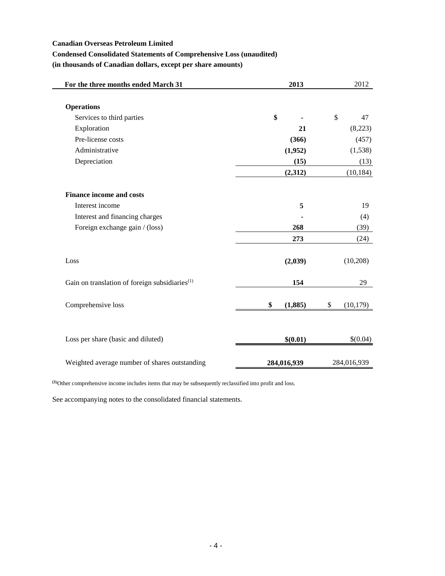# **Condensed Consolidated Statements of Comprehensive Loss (unaudited)**

**(in thousands of Canadian dollars, except per share amounts)**

| For the three months ended March 31                        | 2013          | 2012            |
|------------------------------------------------------------|---------------|-----------------|
|                                                            |               |                 |
| <b>Operations</b>                                          |               |                 |
| Services to third parties                                  | \$            | \$<br>47        |
| Exploration                                                | 21            | (8,223)         |
| Pre-license costs                                          | (366)         | (457)           |
| Administrative                                             | (1,952)       | (1,538)         |
| Depreciation                                               | (15)          | (13)            |
|                                                            | (2,312)       | (10, 184)       |
| <b>Finance income and costs</b>                            |               |                 |
| Interest income                                            | 5             | 19              |
| Interest and financing charges                             |               | (4)             |
| Foreign exchange gain / (loss)                             | 268           | (39)            |
|                                                            | 273           | (24)            |
| Loss                                                       | (2,039)       | (10,208)        |
| Gain on translation of foreign subsidiaries <sup>(1)</sup> | 154           | 29              |
| Comprehensive loss                                         | \$<br>(1,885) | \$<br>(10, 179) |
| Loss per share (basic and diluted)                         | \$(0.01)      | \$(0.04)        |
| Weighted average number of shares outstanding              | 284,016,939   | 284,016,939     |

**(1)**Other comprehensive income includes items that may be subsequently reclassified into profit and loss.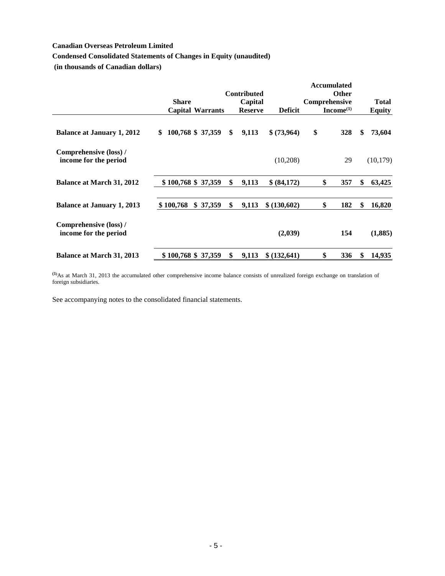# **Condensed Consolidated Statements of Changes in Equity (unaudited)**

**(in thousands of Canadian dollars)**

|                                                 |                    |                         |                               |                | <b>Accumulated</b>     |               |
|-------------------------------------------------|--------------------|-------------------------|-------------------------------|----------------|------------------------|---------------|
|                                                 | <b>Share</b>       |                         | <b>Contributed</b><br>Capital |                | Other<br>Comprehensive | <b>Total</b>  |
|                                                 |                    | <b>Capital Warrants</b> | <b>Reserve</b>                | <b>Deficit</b> | Income <sup>(1)</sup>  | <b>Equity</b> |
| <b>Balance at January 1, 2012</b>               | \$                 | 100,768 \$ 37,359       | \$<br>9,113                   | \$ (73,964)    | \$<br>328              | \$<br>73,604  |
| Comprehensive (loss) /<br>income for the period |                    |                         |                               | (10,208)       | 29                     | (10, 179)     |
| <b>Balance at March 31, 2012</b>                |                    | \$100,768 \$37,359      | \$<br>9,113                   | \$ (84,172)    | \$<br>357              | \$<br>63,425  |
| <b>Balance at January 1, 2013</b>               | \$100,768          | \$37,359                | \$<br>9,113                   | \$ (130,602)   | \$<br>182              | \$<br>16,820  |
| Comprehensive (loss) /<br>income for the period |                    |                         |                               | (2,039)        | 154                    | (1,885)       |
| <b>Balance at March 31, 2013</b>                | \$100,768 \$37,359 |                         | \$<br>9,113                   | \$ (132, 641)  | \$<br>336              | \$<br>14,935  |

**(1)**As at March 31, 2013 the accumulated other comprehensive income balance consists of unrealized foreign exchange on translation of foreign subsidiaries.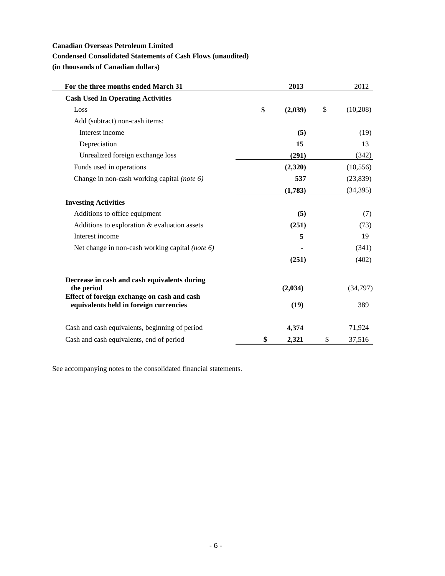# **Condensed Consolidated Statements of Cash Flows (unaudited)**

**(in thousands of Canadian dollars)**

| For the three months ended March 31                                                   | 2013          | 2012           |
|---------------------------------------------------------------------------------------|---------------|----------------|
| <b>Cash Used In Operating Activities</b>                                              |               |                |
| Loss                                                                                  | \$<br>(2,039) | \$<br>(10,208) |
| Add (subtract) non-cash items:                                                        |               |                |
| Interest income                                                                       | (5)           | (19)           |
| Depreciation                                                                          | 15            | 13             |
| Unrealized foreign exchange loss                                                      | (291)         | (342)          |
| Funds used in operations                                                              | (2,320)       | (10, 556)      |
| Change in non-cash working capital (note 6)                                           | 537           | (23, 839)      |
|                                                                                       | (1,783)       | (34, 395)      |
| <b>Investing Activities</b>                                                           |               |                |
| Additions to office equipment                                                         | (5)           | (7)            |
| Additions to exploration & evaluation assets                                          | (251)         | (73)           |
| Interest income                                                                       | 5             | 19             |
| Net change in non-cash working capital (note 6)                                       | ٠             | (341)          |
|                                                                                       | (251)         | (402)          |
| Decrease in cash and cash equivalents during<br>the period                            | (2,034)       | (34,797)       |
| Effect of foreign exchange on cash and cash<br>equivalents held in foreign currencies | (19)          | 389            |
| Cash and cash equivalents, beginning of period                                        | 4,374         | 71,924         |
| Cash and cash equivalents, end of period                                              | \$<br>2,321   | \$<br>37,516   |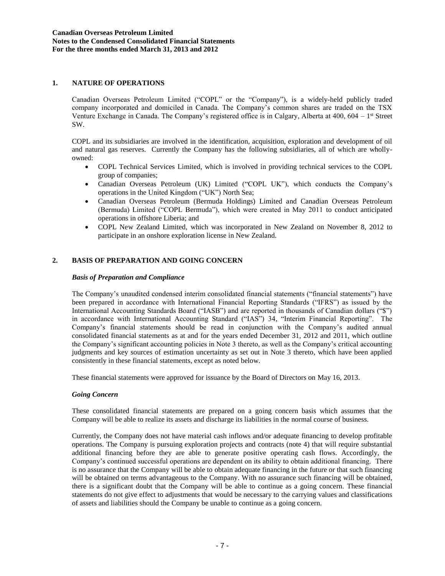## **1. NATURE OF OPERATIONS**

Canadian Overseas Petroleum Limited ("COPL" or the "Company"), is a widely-held publicly traded company incorporated and domiciled in Canada. The Company's common shares are traded on the TSX Venture Exchange in Canada. The Company's registered office is in Calgary, Alberta at 400, 604 – 1<sup>st</sup> Street SW.

COPL and its subsidiaries are involved in the identification, acquisition, exploration and development of oil and natural gas reserves. Currently the Company has the following subsidiaries, all of which are whollyowned:

- COPL Technical Services Limited, which is involved in providing technical services to the COPL group of companies;
- Canadian Overseas Petroleum (UK) Limited ("COPL UK"), which conducts the Company's operations in the United Kingdom ("UK") North Sea;
- Canadian Overseas Petroleum (Bermuda Holdings) Limited and Canadian Overseas Petroleum (Bermuda) Limited ("COPL Bermuda"), which were created in May 2011 to conduct anticipated operations in offshore Liberia; and
- COPL New Zealand Limited, which was incorporated in New Zealand on November 8, 2012 to participate in an onshore exploration license in New Zealand.

# **2. BASIS OF PREPARATION AND GOING CONCERN**

### *Basis of Preparation and Compliance*

The Company's unaudited condensed interim consolidated financial statements ("financial statements") have been prepared in accordance with International Financial Reporting Standards ("IFRS") as issued by the International Accounting Standards Board ("IASB") and are reported in thousands of Canadian dollars ("\$") in accordance with International Accounting Standard ("IAS") 34, "Interim Financial Reporting". The Company's financial statements should be read in conjunction with the Company's audited annual consolidated financial statements as at and for the years ended December 31, 2012 and 2011, which outline the Company's significant accounting policies in Note 3 thereto, as well as the Company's critical accounting judgments and key sources of estimation uncertainty as set out in Note 3 thereto, which have been applied consistently in these financial statements, except as noted below.

These financial statements were approved for issuance by the Board of Directors on May 16, 2013.

### *Going Concern*

These consolidated financial statements are prepared on a going concern basis which assumes that the Company will be able to realize its assets and discharge its liabilities in the normal course of business.

Currently, the Company does not have material cash inflows and/or adequate financing to develop profitable operations. The Company is pursuing exploration projects and contracts (note 4) that will require substantial additional financing before they are able to generate positive operating cash flows. Accordingly, the Company's continued successful operations are dependent on its ability to obtain additional financing. There is no assurance that the Company will be able to obtain adequate financing in the future or that such financing will be obtained on terms advantageous to the Company. With no assurance such financing will be obtained, there is a significant doubt that the Company will be able to continue as a going concern. These financial statements do not give effect to adjustments that would be necessary to the carrying values and classifications of assets and liabilities should the Company be unable to continue as a going concern.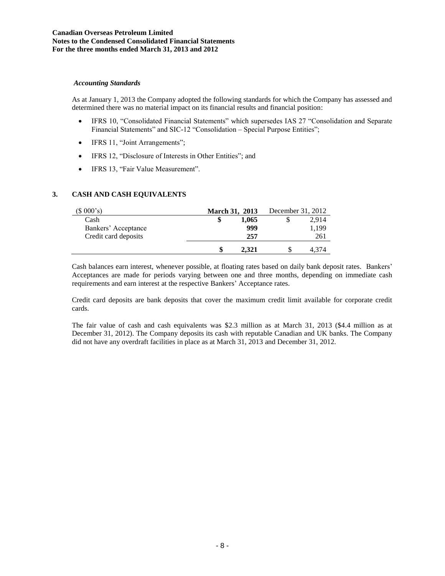#### *Accounting Standards*

As at January 1, 2013 the Company adopted the following standards for which the Company has assessed and determined there was no material impact on its financial results and financial position:

- IFRS 10, "Consolidated Financial Statements" which supersedes IAS 27 "Consolidation and Separate Financial Statements" and SIC-12 "Consolidation – Special Purpose Entities";
- IFRS 11, "Joint Arrangements";
- IFRS 12, "Disclosure of Interests in Other Entities"; and
- IFRS 13, "Fair Value Measurement".

# **3. CASH AND CASH EQUIVALENTS**

| (\$000's)            |   | <b>March 31, 2013</b> | December 31, 2012 |       |  |  |
|----------------------|---|-----------------------|-------------------|-------|--|--|
| Cash                 | S | 1.065                 |                   | 2.914 |  |  |
| Bankers' Acceptance  |   | 999                   |                   | 1.199 |  |  |
| Credit card deposits |   | 257                   |                   | 261   |  |  |
|                      | S | 2.321                 |                   |       |  |  |

Cash balances earn interest, whenever possible, at floating rates based on daily bank deposit rates. Bankers' Acceptances are made for periods varying between one and three months, depending on immediate cash requirements and earn interest at the respective Bankers' Acceptance rates.

Credit card deposits are bank deposits that cover the maximum credit limit available for corporate credit cards.

The fair value of cash and cash equivalents was \$2.3 million as at March 31, 2013 (\$4.4 million as at December 31, 2012). The Company deposits its cash with reputable Canadian and UK banks. The Company did not have any overdraft facilities in place as at March 31, 2013 and December 31, 2012.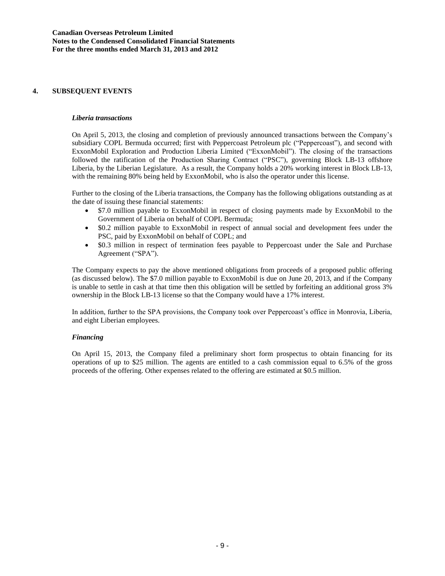## **4. SUBSEQUENT EVENTS**

#### *Liberia transactions*

On April 5, 2013, the closing and completion of previously announced transactions between the Company's subsidiary COPL Bermuda occurred; first with Peppercoast Petroleum plc ("Peppercoast"), and second with ExxonMobil Exploration and Production Liberia Limited ("ExxonMobil"). The closing of the transactions followed the ratification of the Production Sharing Contract ("PSC"), governing Block LB-13 offshore Liberia, by the Liberian Legislature. As a result, the Company holds a 20% working interest in Block LB-13, with the remaining 80% being held by ExxonMobil, who is also the operator under this license.

Further to the closing of the Liberia transactions, the Company has the following obligations outstanding as at the date of issuing these financial statements:

- \$7.0 million payable to ExxonMobil in respect of closing payments made by ExxonMobil to the Government of Liberia on behalf of COPL Bermuda;
- \$0.2 million payable to ExxonMobil in respect of annual social and development fees under the PSC, paid by ExxonMobil on behalf of COPL; and
- \$0.3 million in respect of termination fees payable to Peppercoast under the Sale and Purchase Agreement ("SPA").

The Company expects to pay the above mentioned obligations from proceeds of a proposed public offering (as discussed below). The \$7.0 million payable to ExxonMobil is due on June 20, 2013, and if the Company is unable to settle in cash at that time then this obligation will be settled by forfeiting an additional gross 3% ownership in the Block LB-13 license so that the Company would have a 17% interest.

In addition, further to the SPA provisions, the Company took over Peppercoast's office in Monrovia, Liberia, and eight Liberian employees.

### *Financing*

On April 15, 2013, the Company filed a preliminary short form prospectus to obtain financing for its operations of up to \$25 million. The agents are entitled to a cash commission equal to 6.5% of the gross proceeds of the offering. Other expenses related to the offering are estimated at \$0.5 million.